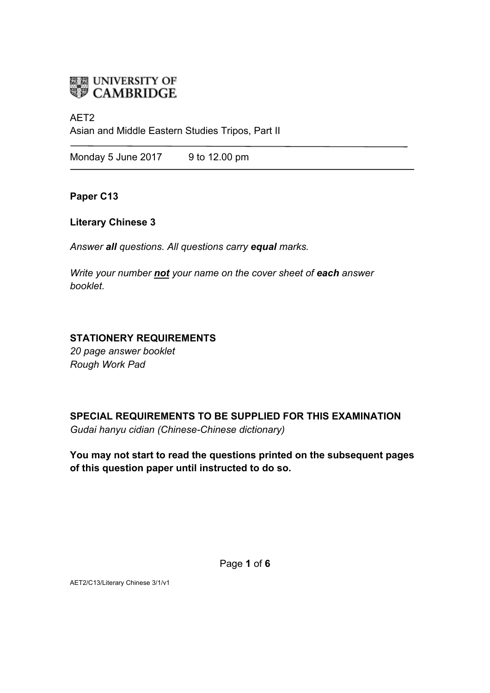

### AET2

Asian and Middle Eastern Studies Tripos, Part II

Monday 5 June 2017 9 to 12.00 pm

**Paper C13**

## **Literary Chinese 3**

*Answer all questions. All questions carry equal marks.*

*Write your number not your name on the cover sheet of each answer booklet.* 

## **STATIONERY REQUIREMENTS**

*20 page answer booklet Rough Work Pad*

**SPECIAL REQUIREMENTS TO BE SUPPLIED FOR THIS EXAMINATION** *Gudai hanyu cidian (Chinese-Chinese dictionary)*

**You may not start to read the questions printed on the subsequent pages of this question paper until instructed to do so.**

Page **1** of **6**

AET2/C13/Literary Chinese 3/1/v1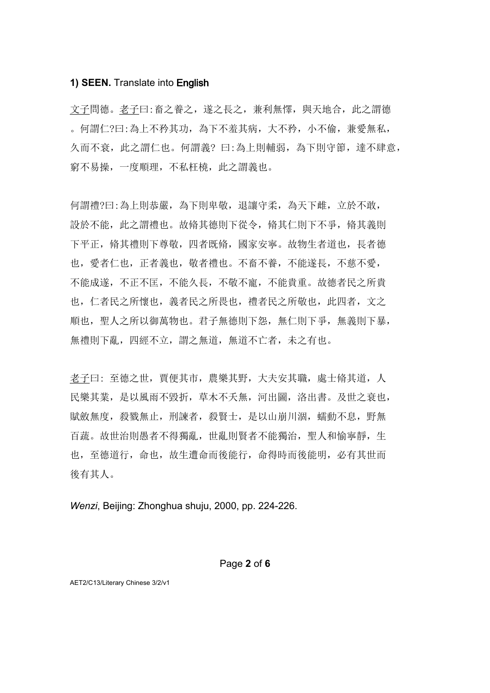#### **1) SEEN.** Translate into English

文子問德。老子曰:畜之養之,遂之長之,兼利無懌,與天地合,此之謂德 。何謂仁?曰:為上不矜其功,為下不羞其病,大不矜,小不偷,兼愛無私, 久而不衰,此之謂仁也。何謂義?曰:為上則輔弱,為下則守節,達不肆意, 窮不易操,一度順理,不私枉橈,此之謂義也。

何謂禮?曰:為上則恭嚴,為下則卑敬,退讓守柔,為天下雌,立於不敢, 設於不能,此之謂禮也。故脩其德則下從令,脩其仁則下不爭,脩其義則 下平正,脩其禮則下尊敬,四者既脩,國家安寧。故物生者道也,長者德 也, 愛者仁也, 正者義也, 敬者禮也。不畜不養, 不能遂長, 不慈不愛, 不能成遂,不正不匡,不能久長,不敬不寵,不能貴重。故德者民之所貴 也,仁者民之所懷也,義者民之所畏也,禮者民之所敬也,此四者,文之 順也, 聖人之所以御萬物也。君子無德則下怨, 無仁則下爭, 無義則下暴, 無禮則下亂,四經不立,謂之無道,無道不亡者,未之有也。

老子曰: 至德之世,賈便其市,農樂其野,大夫安其職,處士脩其道,人 民樂其業,是以風雨不毀折,草木不夭無,河出圖,洛出書。及世之衰也, 賦斂無度,殺戮無止,刑諫者,殺賢士,是以山崩川涸,蠕動不息,野無 百蔬。故世治則愚者不得獨亂,世亂則賢者不能獨治, 聖人和愉寧靜, 生 也,至德道行,命也,故生遭命而後能行,命得時而後能明,必有其世而 後有其人。

*Wenzi*, Beijing: Zhonghua shuju, 2000, pp. 224-226.

AET2/C13/Literary Chinese 3/2/v1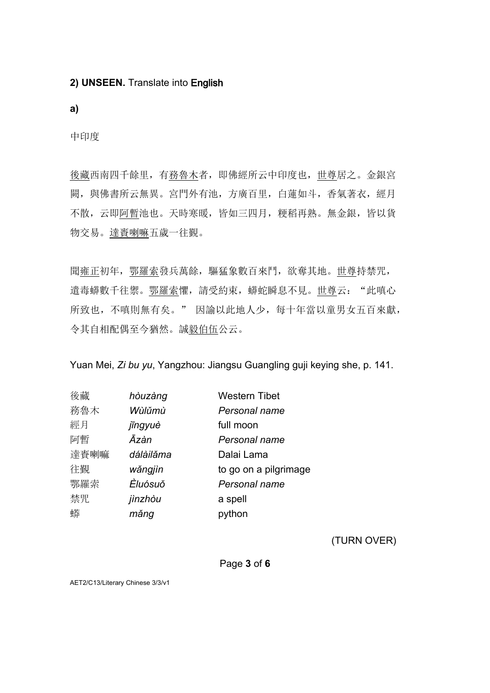## **2) UNSEEN.** Translate into English

**a)**

中印度

後藏西南四千餘里,有務魯木者,即佛經所云中印度也,世尊居之。金銀宮 闕, 與佛書所云無異。宮門外有池, 方廣百里, 白蓮如斗, 香氣著衣, 經月 不散,云即阿暫池也。天時寒暖,皆如三四月,粳稻再熟。無金銀,皆以貨 物交易。達賚喇嘛五歲一往覲。

聞雍正初年,鄂羅索發兵萬餘,驅猛象數百來鬥,欲奪其地。世尊持禁咒, 遣毒蟒數千往禦。鄂羅索懼,請受約束,蟒蛇瞬息不見。世尊云: "此嗔心 所致也,不嗔則無有矣。"因諭以此地人少,每十年當以童男女五百來獻, 令其自相配偶至今猶然。誠毅伯伍公云。

Yuan Mei, *Zi bu yu*, Yangzhou: Jiangsu Guangling guji keying she, p. 141.

| 後藏   | hòuzàng   | <b>Western Tibet</b>  |
|------|-----------|-----------------------|
| 務魯木  | Wùlŭmù    | Personal name         |
| 經月   | jīngyuè   | full moon             |
| 阿暫   | Āzàn      | Personal name         |
| 達賚喇嘛 | dálàilăma | Dalai Lama            |
| 往覲   | wăngjìn   | to go on a pilgrimage |
| 鄂羅索  | Èluósuŏ   | Personal name         |
| 禁咒   | jinzhòu   | a spell               |
| 蟒    | măng      | python                |

(TURN OVER)

Page **3** of **6**

AET2/C13/Literary Chinese 3/3/v1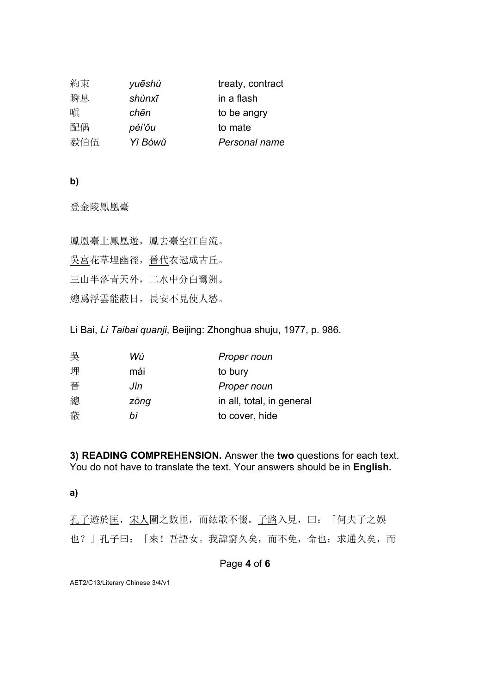| 約束  | yuēshù  | treaty, contract |
|-----|---------|------------------|
| 瞬息  | shùnxī  | in a flash       |
| 嗔   | chēn    | to be angry      |
| 配偶  | pèi'ŏu  | to mate          |
| 毅伯伍 | Yì Bówǔ | Personal name    |

## **b)**

登金陵鳳凰臺

| 鳳凰臺上鳳凰遊,鳳去臺空江自流。  |  |
|-------------------|--|
| 吳宮花草埋幽徑,晉代衣冠成古丘。  |  |
| 三山半落青天外, 二水中分白鷺洲。 |  |
| 總爲浮雲能蔽日,長安不見使人愁。  |  |

Li Bai, *Li Taibai quanji*, Beijing: Zhonghua shuju, 1977, p. 986.

| 吳 | Wú   | Proper noun               |
|---|------|---------------------------|
| 埋 | mái  | to bury                   |
| 픕 | Jìn  | Proper noun               |
| 總 | zōng | in all, total, in general |
| 蔽 | hì   | to cover, hide            |
|   |      |                           |

**3) READING COMPREHENSION.** Answer the **two** questions for each text. You do not have to translate the text. Your answers should be in **English.**

# **a)**

孔子遊於匡,宋人圍之數匝,而絃歌不惙。子路入見,曰:「何夫子之娛 也?」孔子曰:「來!吾語女。我諱窮久矣,而不免,命也;求通久矣,而

## Page **4** of **6**

AET2/C13/Literary Chinese 3/4/v1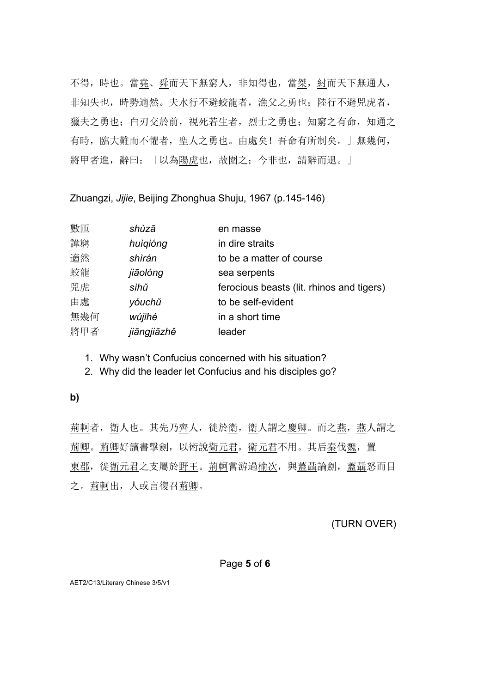不得, 時也。當<u>堯、舜</u>而天下無窮人, 非知得也, 當<u>桀, 紂</u>而天下無通人, 非知失也,時勢適然。夫水行不避蛟龍者,漁父之勇也;陸行不避兕虎者, 獵夫之勇也;白刃交於前,視死若生者,烈士之勇也;知窮之有命,知通之 有時,臨大難而不懼者,聖人之勇也。由處矣!吾命有所制矣。」無幾何, 將甲者進,辭曰:「以為陽虎也,故圍之;今非也,請辭而退。」

Zhuangzi, *Jijie*, Beijing Zhonghua Shuju, 1967 (p.145-146)

| 數匝  | shùzā       | en masse                                  |
|-----|-------------|-------------------------------------------|
| 諱窮  | huìgióng    | in dire straits                           |
| 適然  | shìrán      | to be a matter of course                  |
| 蛟龍  | jiāolóng    | sea serpents                              |
| 兕虎  | sìhŭ        | ferocious beasts (lit. rhinos and tigers) |
| 由處  | yóuchǔ      | to be self-evident                        |
| 無幾何 | wújīhé      | in a short time                           |
| 將甲者 | jiāngjiāzhě | leader                                    |
|     |             |                                           |

1. Why wasn't Confucius concerned with his situation?

2. Why did the leader let Confucius and his disciples go?

### **b)**

荊軻者,衛人也。其先乃齊人,徙於衛,衛人謂之慶卿。而之燕,燕人謂之 荊卿。荊卿好讀書擊劍,以術說衛元君,衛元君不用。其后秦伐魏,置 東郡, 徙衛元君之支屬於野王。荊軻嘗游過榆次, 與蓋聶論劍, 蓋聶怒而目 之。荊軻出,人或言復召荊卿。

(TURN OVER)

#### Page **5** of **6**

AET2/C13/Literary Chinese 3/5/v1